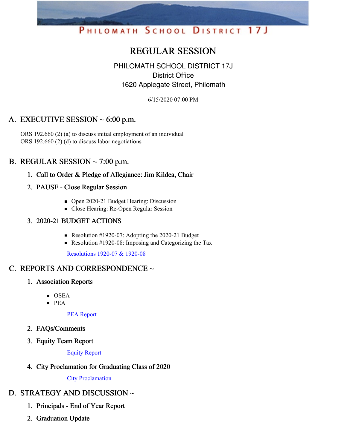# PHILOMATH SCHOOL DISTRICT 17J

# REGULAR SESSION

## PHILOMATH SCHOOL DISTRICT 17J District Office 1620 Applegate Street, Philomath

6/15/2020 07:00 PM

# A. EXECUTIVE SESSION  $\sim 6:00$  p.m.

ORS 192.660 (2) (a) to discuss initial employment of an individual ORS 192.660 (2) (d) to discuss labor negotiations

### B. REGULAR SESSION  $\sim$  7:00 p.m.

- 1. Call to Order & Pledge of Allegiance: Jim Kildea, Chair
- 2. PAUSE Close Regular Session
	- Open 2020-21 Budget Hearing: Discussion
	- Close Hearing: Re-Open Regular Session

#### 3. 2020-21 BUDGET ACTIONS

- Resolution #1920-07: Adopting the 2020-21 Budget
- Resolution #1920-08: Imposing and Categorizing the Tax

[Resolutions](https://app.eduportal.com/documents/view/757002) 1920-07 & 1920-08

# C. REPORTS AND CORRESPONDENCE ~

- 1. Association Reports
	- OSEA
	- $PEA$

PEA [Report](https://app.eduportal.com/documents/view/757010)

- 2. FAQs/Comments
- 3. Equity Team Report

Equity [Report](https://app.eduportal.com/documents/view/757011)

4. City Proclamation for Graduating Class of 2020

City [Proclamation](https://app.eduportal.com/documents/view/757220)

# D. STRATEGY AND DISCUSSION ~

- 1. Principals End of Year Report
- 2. Graduation Update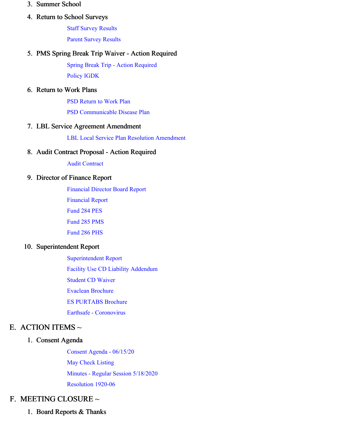#### 3. Summer School

#### 4. Return to School Surveys

Staff Survey [Results](https://app.eduportal.com/documents/view/757004) Parent Survey [Results](https://app.eduportal.com/documents/view/757003)

#### 5. PMS Spring Break Trip Waiver - Action Required

Spring Break Trip - Action [Required](https://app.eduportal.com/documents/view/757013) [Policy](https://app.eduportal.com/documents/view/757252) IGDK

#### 6. Return to Work Plans

PSD [Return](https://app.eduportal.com/documents/view/757016) to Work Plan

PSD [Communicable](https://app.eduportal.com/documents/view/757015) Disease Plan

#### 7. LBL Service Agreement Amendment

LBL Local Service Plan Resolution [Amendment](https://app.eduportal.com/documents/view/757021)

#### 8. Audit Contract Proposal - Action Required

Audit [Contract](https://app.eduportal.com/documents/view/757001)

#### 9. Director of Finance Report

[Financial](https://app.eduportal.com/documents/view/757018) Director Board Report [Financial](https://app.eduportal.com/documents/view/757000) Report [Fund](https://app.eduportal.com/documents/view/756995) 284 PES [Fund](https://app.eduportal.com/documents/view/756991) 285 PMS

[Fund](https://app.eduportal.com/documents/view/756992) 286 PHS

#### 10. Superintendent Report

[Superintendent](https://app.eduportal.com/documents/view/757231) Report Facility Use CD Liability [Addendum](https://app.eduportal.com/documents/view/757017) [Student](https://app.eduportal.com/documents/view/757014) CD Waiver Evaclean [Brochure](https://app.eduportal.com/documents/view/757009) ES [PURTABS](https://app.eduportal.com/documents/view/757008) Brochure Earthsafe - [Coronovirus](https://app.eduportal.com/documents/view/757007)

# E. ACTION ITEMS  $\sim$

#### 1. Consent Agenda

Consent Agenda - [06/15/20](https://app.eduportal.com/documents/view/757327) May Check [Listing](https://app.eduportal.com/documents/view/756999) Minutes - Regular Session [5/18/2020](https://app.eduportal.com/documents/view/757022) [Resolution](https://app.eduportal.com/documents/view/757012) 1920-06

# F. MEETING CLOSURE ~

1. Board Reports & Thanks